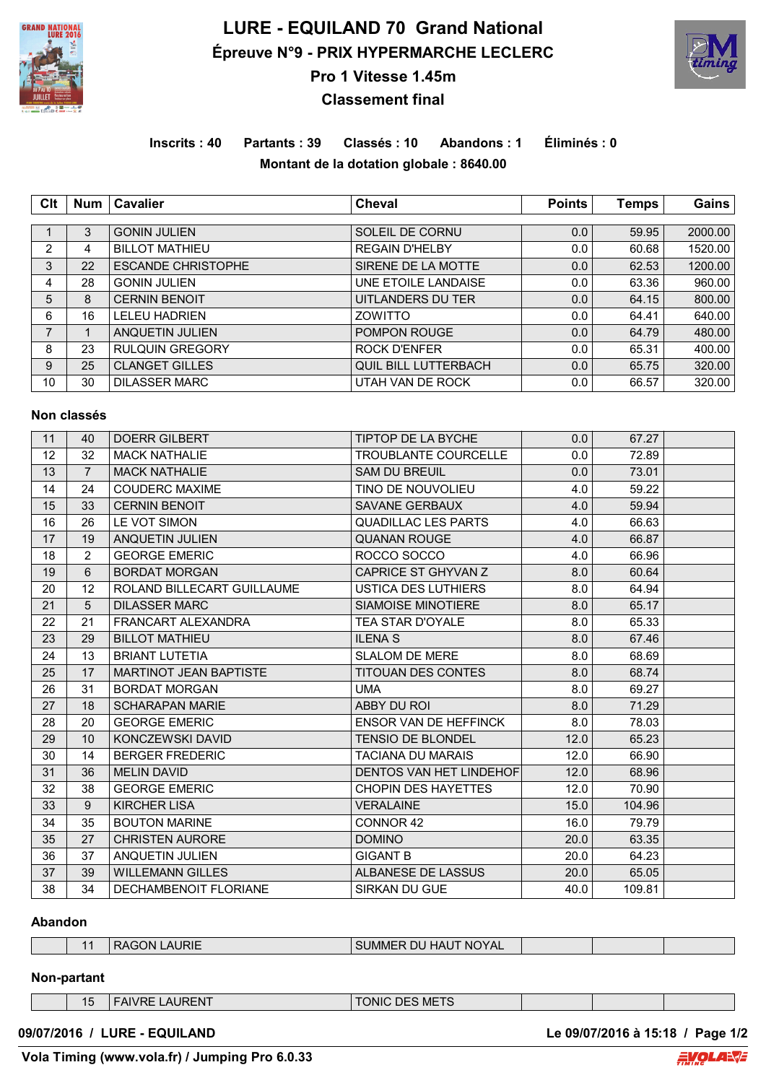

## **LURE - EQUILAND 70 Grand National Épreuve N°9 - PRIX HYPERMARCHE LECLERC**



**Pro 1 Vitesse 1.45m**

# **Classement final**

### **Inscrits : 40 Partants : 39 Classés : 10 Abandons : 1 Éliminés : 0 Montant de la dotation globale : 8640.00**

| Clt | <b>Num</b> | Cavalier                  | <b>Cheval</b>               | <b>Points</b> | <b>Temps</b> | Gains   |
|-----|------------|---------------------------|-----------------------------|---------------|--------------|---------|
|     |            |                           |                             |               |              |         |
|     | 3          | <b>GONIN JULIEN</b>       | SOLEIL DE CORNU             | 0.0           | 59.95        | 2000.00 |
| 2   | 4          | <b>BILLOT MATHIEU</b>     | <b>REGAIN D'HELBY</b>       | 0.0           | 60.68        | 1520.00 |
| 3   | 22         | <b>ESCANDE CHRISTOPHE</b> | SIRENE DE LA MOTTE          | 0.0           | 62.53        | 1200.00 |
| 4   | 28         | <b>GONIN JULIEN</b>       | UNE ETOILE LANDAISE         | 0.0           | 63.36        | 960.00  |
| 5   | 8          | <b>CERNIN BENOIT</b>      | UITLANDERS DU TER           | 0.0           | 64.15        | 800.00  |
| 6   | 16         | <b>LELEU HADRIEN</b>      | ZOWITTO                     | 0.0           | 64.41        | 640.00  |
| 7   |            | ANQUETIN JULIEN           | POMPON ROUGE                | 0.0           | 64.79        | 480.00  |
| 8   | 23         | <b>RULQUIN GREGORY</b>    | <b>ROCK D'ENFER</b>         | 0.0           | 65.31        | 400.00  |
| 9   | 25         | <b>CLANGET GILLES</b>     | <b>QUIL BILL LUTTERBACH</b> | 0.0           | 65.75        | 320.00  |
| 10  | 30         | <b>DILASSER MARC</b>      | UTAH VAN DE ROCK            | 0.0           | 66.57        | 320.00  |

#### **Non classés**

| 11 | 40             | <b>DOERR GILBERT</b>          | <b>TIPTOP DE LA BYCHE</b>    | 0.0  | 67.27  |  |
|----|----------------|-------------------------------|------------------------------|------|--------|--|
| 12 | 32             | <b>MACK NATHALIE</b>          | <b>TROUBLANTE COURCELLE</b>  | 0.0  | 72.89  |  |
| 13 | $\overline{7}$ | <b>MACK NATHALIE</b>          | <b>SAM DU BREUIL</b>         | 0.0  | 73.01  |  |
| 14 | 24             | <b>COUDERC MAXIME</b>         | TINO DE NOUVOLIEU            | 4.0  | 59.22  |  |
| 15 | 33             | <b>CERNIN BENOIT</b>          | SAVANE GERBAUX               | 4.0  | 59.94  |  |
| 16 | 26             | LE VOT SIMON                  | <b>QUADILLAC LES PARTS</b>   | 4.0  | 66.63  |  |
| 17 | 19             | <b>ANQUETIN JULIEN</b>        | <b>QUANAN ROUGE</b>          | 4.0  | 66.87  |  |
| 18 | $\overline{2}$ | <b>GEORGE EMERIC</b>          | ROCCO SOCCO                  | 4.0  | 66.96  |  |
| 19 | 6              | <b>BORDAT MORGAN</b>          | CAPRICE ST GHYVAN Z          | 8.0  | 60.64  |  |
| 20 | 12             | ROLAND BILLECART GUILLAUME    | USTICA DES LUTHIERS          | 8.0  | 64.94  |  |
| 21 | 5              | <b>DILASSER MARC</b>          | SIAMOISE MINOTIERE           | 8.0  | 65.17  |  |
| 22 | 21             | <b>FRANCART ALEXANDRA</b>     | <b>TEA STAR D'OYALE</b>      | 8.0  | 65.33  |  |
| 23 | 29             | <b>BILLOT MATHIEU</b>         | <b>ILENA S</b>               | 8.0  | 67.46  |  |
| 24 | 13             | <b>BRIANT LUTETIA</b>         | <b>SLALOM DE MERE</b>        | 8.0  | 68.69  |  |
| 25 | 17             | <b>MARTINOT JEAN BAPTISTE</b> | <b>TITOUAN DES CONTES</b>    | 8.0  | 68.74  |  |
| 26 | 31             | <b>BORDAT MORGAN</b>          | <b>UMA</b>                   | 8.0  | 69.27  |  |
| 27 | 18             | <b>SCHARAPAN MARIE</b>        | ABBY DU ROI                  | 8.0  | 71.29  |  |
| 28 | 20             | <b>GEORGE EMERIC</b>          | <b>ENSOR VAN DE HEFFINCK</b> | 8.0  | 78.03  |  |
| 29 | 10             | KONCZEWSKI DAVID              | <b>TENSIO DE BLONDEL</b>     | 12.0 | 65.23  |  |
| 30 | 14             | <b>BERGER FREDERIC</b>        | <b>TACIANA DU MARAIS</b>     | 12.0 | 66.90  |  |
| 31 | 36             | <b>MELIN DAVID</b>            | DENTOS VAN HET LINDEHOF      | 12.0 | 68.96  |  |
| 32 | 38             | <b>GEORGE EMERIC</b>          | <b>CHOPIN DES HAYETTES</b>   | 12.0 | 70.90  |  |
| 33 | 9              | <b>KIRCHER LISA</b>           | <b>VERALAINE</b>             | 15.0 | 104.96 |  |
| 34 | 35             | <b>BOUTON MARINE</b>          | CONNOR 42                    | 16.0 | 79.79  |  |
| 35 | 27             | <b>CHRISTEN AURORE</b>        | <b>DOMINO</b>                | 20.0 | 63.35  |  |
| 36 | 37             | <b>ANQUETIN JULIEN</b>        | <b>GIGANT B</b>              | 20.0 | 64.23  |  |
| 37 | 39             | <b>WILLEMANN GILLES</b>       | ALBANESE DE LASSUS           | 20.0 | 65.05  |  |
| 38 | 34             | DECHAMBENOIT FLORIANE         | SIRKAN DU GUE                | 40.0 | 109.81 |  |

#### **Abandon**

| <b>AURIE</b><br>™ NOYAL.<br>וחר<br>$M_{\rm H}$<br>VIME<br>. 1AU<br>υu<br>the contract of the contract of the contract of the contract of the contract of the contract of the contract of |  |  |  |  |  |  |  |
|------------------------------------------------------------------------------------------------------------------------------------------------------------------------------------------|--|--|--|--|--|--|--|
|------------------------------------------------------------------------------------------------------------------------------------------------------------------------------------------|--|--|--|--|--|--|--|

### **Non-partant**

| <b>FAIVRE LAURENT</b><br>15 |  |
|-----------------------------|--|
|-----------------------------|--|

TONIC DES METS

**09/07/2016 / LURE - EQUILAND Le 09/07/2016 à 15:18 / Page 1/2**